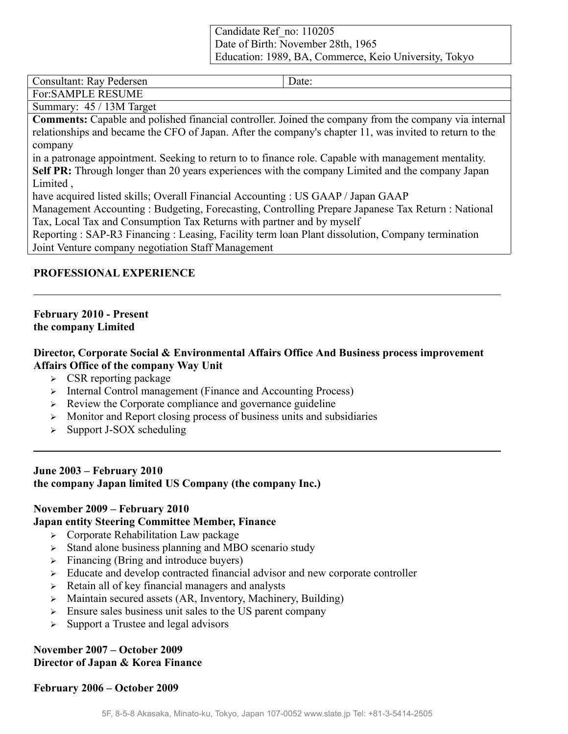Candidate Ref\_no: 110205 Date of Birth: November 28th, 1965 Education: 1989, BA, Commerce, Keio University, Tokyo

Consultant: Ray Pedersen Date:

For:SAMPLE RESUME

Summary: 45 / 13M Target

**Comments:** Capable and polished financial controller. Joined the company from the company via internal relationships and became the CFO of Japan. After the company's chapter 11, was invited to return to the company

in a patronage appointment. Seeking to return to to finance role. Capable with management mentality. **Self PR:** Through longer than 20 years experiences with the company Limited and the company Japan Limited ,

have acquired listed skills; Overall Financial Accounting : US GAAP / Japan GAAP

Management Accounting : Budgeting, Forecasting, Controlling Prepare Japanese Tax Return : National Tax, Local Tax and Consumption Tax Returns with partner and by myself

Reporting : SAP-R3 Financing : Leasing, Facility term loan Plant dissolution, Company termination Joint Venture company negotiation Staff Management

#### **PROFESSIONAL EXPERIENCE**

#### **February 2010 - Present the company Limited**

#### **Director, Corporate Social & Environmental Affairs Office And Business process improvement Affairs Office of the company Way Unit**

- $\triangleright$  CSR reporting package
- ➢ Internal Control management (Finance and Accounting Process)
- $\triangleright$  Review the Corporate compliance and governance guideline
- ➢ Monitor and Report closing process of business units and subsidiaries
- $\geq$  Support J-SOX scheduling

#### **June 2003 – February 2010 the company Japan limited US Company (the company Inc.)**

#### **November 2009 – February 2010**

#### **Japan entity Steering Committee Member, Finance**

- ➢ Corporate Rehabilitation Law package
- ➢ Stand alone business planning and MBO scenario study
- ➢ Financing (Bring and introduce buyers)
- ➢ Educate and develop contracted financial advisor and new corporate controller
- ➢ Retain all of key financial managers and analysts
- ➢ Maintain secured assets (AR, Inventory, Machinery, Building)
- $\geq$  Ensure sales business unit sales to the US parent company
- ➢ Support a Trustee and legal advisors

## **November 2007 – October 2009 Director of Japan & Korea Finance**

**February 2006 – October 2009**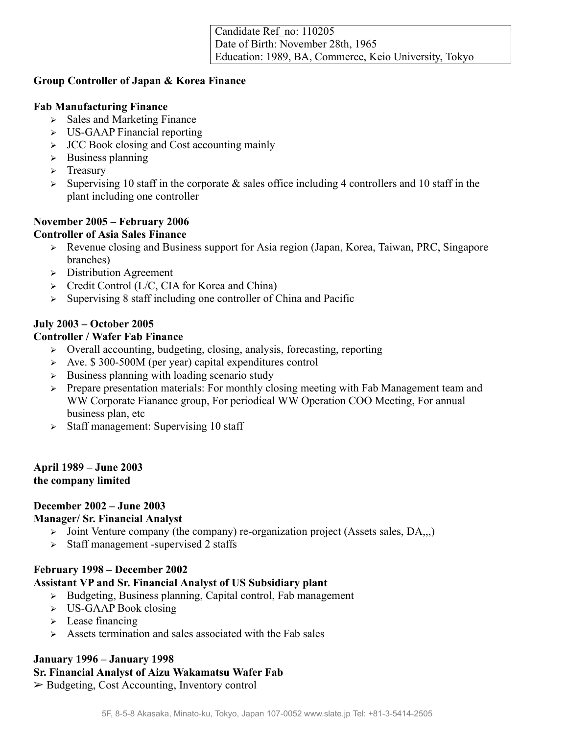## **Group Controller of Japan & Korea Finance**

### **Fab Manufacturing Finance**

- ➢ Sales and Marketing Finance
- ➢ US-GAAP Financial reporting
- ➢ JCC Book closing and Cost accounting mainly
- ➢ Business planning
- ➢ Treasury
- $\geq$  Supervising 10 staff in the corporate & sales office including 4 controllers and 10 staff in the plant including one controller

# **November 2005 – February 2006**

# **Controller of Asia Sales Finance**

- ➢ Revenue closing and Business support for Asia region (Japan, Korea, Taiwan, PRC, Singapore branches)
- ➢ Distribution Agreement
- ➢ Credit Control (L/C, CIA for Korea and China)
- ➢ Supervising 8 staff including one controller of China and Pacific

# **July 2003 – October 2005**

## **Controller / Wafer Fab Finance**

- ➢ Overall accounting, budgeting, closing, analysis, forecasting, reporting
- ➢ Ave. \$ 300-500M (per year) capital expenditures control
- $\triangleright$  Business planning with loading scenario study
- ➢ Prepare presentation materials: For monthly closing meeting with Fab Management team and WW Corporate Fianance group, For periodical WW Operation COO Meeting, For annual business plan, etc
- ➢ Staff management: Supervising 10 staff

#### **April 1989 – June 2003 the company limited**

# **December 2002 – June 2003**

#### **Manager/ Sr. Financial Analyst**

- $\triangleright$  Joint Venture company (the company) re-organization project (Assets sales, DA,.,)
- ➢ Staff management -supervised 2 staffs

#### **February 1998 – December 2002**

# **Assistant VP and Sr. Financial Analyst of US Subsidiary plant**

- ➢ Budgeting, Business planning, Capital control, Fab management
- ➢ US-GAAP Book closing
- ➢ Lease financing
- $\geq$  Assets termination and sales associated with the Fab sales

# **January 1996 – January 1998**

# **Sr. Financial Analyst of Aizu Wakamatsu Wafer Fab**

➢ Budgeting, Cost Accounting, Inventory control